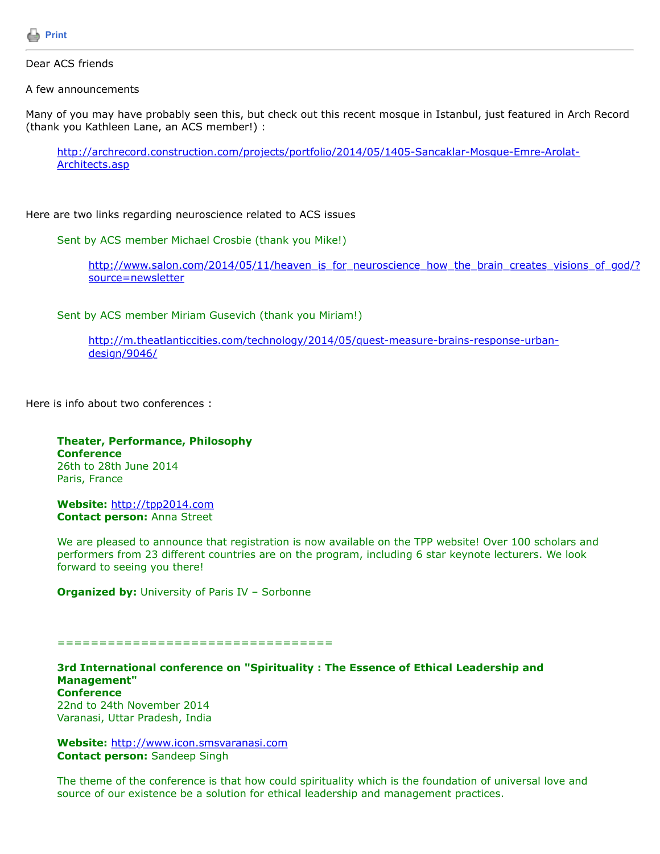

## Dear ACS friends

A few announcements

Many of you may have probably seen this, but check out this recent mosque in Istanbul, just featured in Arch Record (thank you Kathleen Lane, an ACS member!) :

[http://archrecord.construction.com/projects/portfolio/2014/05/1405-Sancaklar-Mosque-Emre-Arolat-](http://archrecord.construction.com/projects/portfolio/2014/05/1405-Sancaklar-Mosque-Emre-Arolat-Architects.asp)Architects.asp

Here are two links regarding neuroscience related to ACS issues

Sent by ACS member Michael Crosbie (thank you Mike!)

[http://www.salon.com/2014/05/11/heaven\\_is\\_for\\_neuroscience\\_how\\_the\\_brain\\_creates\\_visions\\_of\\_god/?](http://www.salon.com/2014/05/11/heaven_is_for_neuroscience_how_the_brain_creates_visions_of_god/?source=newsletter) source=newsletter

Sent by ACS member Miriam Gusevich (thank you Miriam!)

[http://m.theatlanticcities.com/technology/2014/05/quest-measure-brains-response-urban](http://m.theatlanticcities.com/technology/2014/05/quest-measure-brains-response-urban-design/9046/)design/9046/

Here is info about two conferences :

**Theater, Performance, Philosophy Conference** 26th to 28th June 2014 Paris, France

**Website:** [http://tpp2014.com](http://tpp2014.com/) **Contact person:** Anna Street

We are pleased to announce that registration is now available on the TPP website! Over 100 scholars and performers from 23 different countries are on the program, including 6 star keynote lecturers. We look forward to seeing you there!

**Organized by: University of Paris IV - Sorbonne** 

=================================

**3rd International conference on "Spirituality : The Essence of Ethical Leadership and Management" Conference** 22nd to 24th November 2014

Varanasi, Uttar Pradesh, India

**Website:** [http://www.icon.smsvaranasi.com](http://www.icon.smsvaranasi.com/) **Contact person:** Sandeep Singh

The theme of the conference is that how could spirituality which is the foundation of universal love and source of our existence be a solution for ethical leadership and management practices.